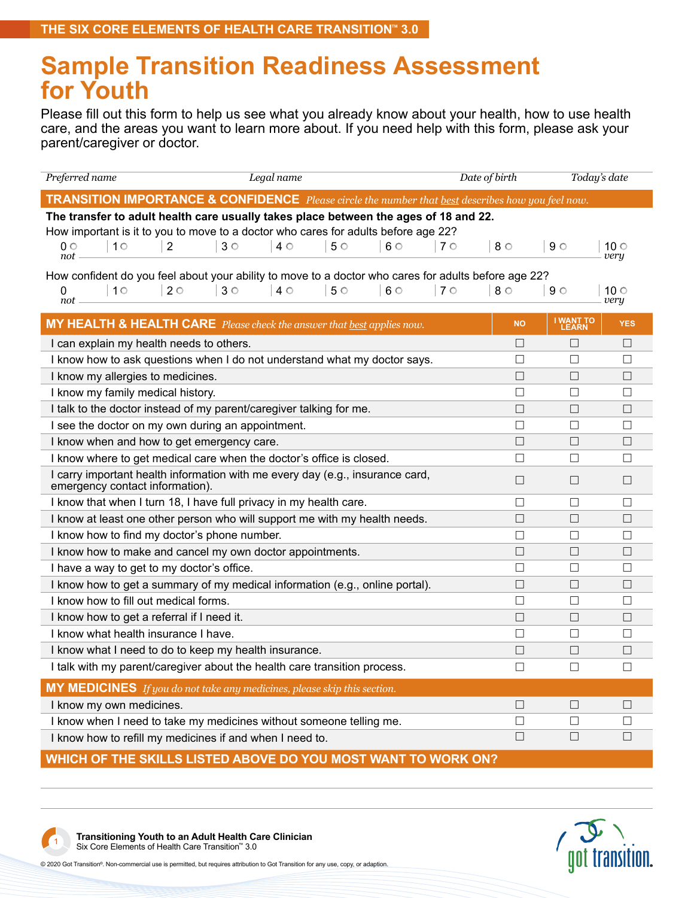## **Sample Transition Readiness Assessment for Youth**

Please fill out this form to help us see what you already know about your health, how to use health care, and the areas you want to learn more about. If you need help with this form, please ask your parent/caregiver or doctor.

| Preferred name                                                                                                                                | Legal name |           |           |             | Date of birth | Today's date       |              |  |  |
|-----------------------------------------------------------------------------------------------------------------------------------------------|------------|-----------|-----------|-------------|---------------|--------------------|--------------|--|--|
| <b>TRANSITION IMPORTANCE &amp; CONFIDENCE</b> Please circle the number that <u>best</u> describes how you feel now.                           |            |           |           |             |               |                    |              |  |  |
| The transfer to adult health care usually takes place between the ages of 18 and 22.                                                          |            |           |           |             |               |                    |              |  |  |
| How important is it to you to move to a doctor who cares for adults before age 22?                                                            |            |           |           |             |               |                    |              |  |  |
| 10<br>$\overline{2}$<br>$3^\circ$<br>$0 \circ$<br>not                                                                                         | $4^\circ$  | $5^\circ$ | $6^\circ$ | $7^{\circ}$ | $8^\circ$     | $9^\circ$          | 10 ○<br>very |  |  |
|                                                                                                                                               |            |           |           |             |               |                    |              |  |  |
| How confident do you feel about your ability to move to a doctor who cares for adults before age 22?<br>10<br>$2^{\circ}$<br>$3^{\circ}$<br>0 | $4^\circ$  | $5^\circ$ | $6^\circ$ | $7^\circ$   | $8^\circ$     | $9^\circ$          | 10 ○         |  |  |
| not                                                                                                                                           |            |           |           |             |               |                    | very         |  |  |
| MY HEALTH & HEALTH CARE Please check the answer that best applies now.                                                                        |            |           |           |             | <b>NO</b>     | I WANT TO<br>LEARN | <b>YES</b>   |  |  |
| I can explain my health needs to others.                                                                                                      |            |           |           |             | П             | П                  | $\Box$       |  |  |
| I know how to ask questions when I do not understand what my doctor says.                                                                     |            |           |           |             | □             | $\Box$             | $\Box$       |  |  |
| I know my allergies to medicines.                                                                                                             |            |           |           |             | $\Box$        | $\Box$             | $\Box$       |  |  |
| I know my family medical history.                                                                                                             |            |           |           |             | □             | $\Box$             | $\Box$       |  |  |
| I talk to the doctor instead of my parent/caregiver talking for me.                                                                           |            |           |           |             | $\Box$        | $\Box$             | $\Box$       |  |  |
| I see the doctor on my own during an appointment.                                                                                             |            |           |           |             | П             | П                  | П            |  |  |
| I know when and how to get emergency care.                                                                                                    |            |           |           |             | $\Box$        | $\Box$             | $\Box$       |  |  |
| I know where to get medical care when the doctor's office is closed.                                                                          |            |           |           |             | □             | $\Box$             | $\Box$       |  |  |
| I carry important health information with me every day (e.g., insurance card,<br>emergency contact information).                              |            |           |           |             | П             | $\Box$             | $\Box$       |  |  |
| I know that when I turn 18, I have full privacy in my health care.                                                                            |            |           |           |             | □             | $\Box$             | $\Box$       |  |  |
| I know at least one other person who will support me with my health needs.                                                                    |            |           |           |             | $\Box$        | $\Box$             | $\Box$       |  |  |
| I know how to find my doctor's phone number.                                                                                                  |            |           |           |             | П             | П                  | П            |  |  |
| I know how to make and cancel my own doctor appointments.                                                                                     |            |           |           |             | □             | $\Box$             | $\Box$       |  |  |
| I have a way to get to my doctor's office.                                                                                                    |            |           |           |             | □             | $\Box$             | $\Box$       |  |  |
| I know how to get a summary of my medical information (e.g., online portal).                                                                  |            |           |           |             | $\Box$        | $\Box$             | $\Box$       |  |  |
| I know how to fill out medical forms.                                                                                                         |            |           |           |             | □             | $\Box$             | $\Box$       |  |  |
| I know how to get a referral if I need it.                                                                                                    |            |           |           |             | П             | $\Box$             | $\Box$       |  |  |
| I know what health insurance I have.                                                                                                          |            |           |           |             | □             | $\Box$             | П            |  |  |
| I know what I need to do to keep my health insurance.                                                                                         |            |           |           |             | П             | $\Box$             | $\Box$       |  |  |
| I talk with my parent/caregiver about the health care transition process.                                                                     |            |           |           |             | $\Box$        | $\Box$             | $\Box$       |  |  |
| <b>MY MEDICINES</b> If you do not take any medicines, please skip this section.                                                               |            |           |           |             |               |                    |              |  |  |
| I know my own medicines.                                                                                                                      |            |           |           |             | $\Box$        | $\Box$             | $\Box$       |  |  |
| I know when I need to take my medicines without someone telling me.                                                                           |            |           |           |             | $\Box$        | $\Box$             | $\Box$       |  |  |
| I know how to refill my medicines if and when I need to.                                                                                      |            |           |           |             | $\Box$        | $\Box$             | $\Box$       |  |  |

**WHICH OF THE SKILLS LISTED ABOVE DO YOU MOST WANT TO WORK ON?**



**Transitioning Youth to an Adult Health Care Clinician** Six Core Elements of Health Care Transition™ 3.0 <sup>1</sup>



© 2020 Got Transition®. Non-commercial use is permitted, but requires attribution to Got Transition for any use, copy, or adaption.